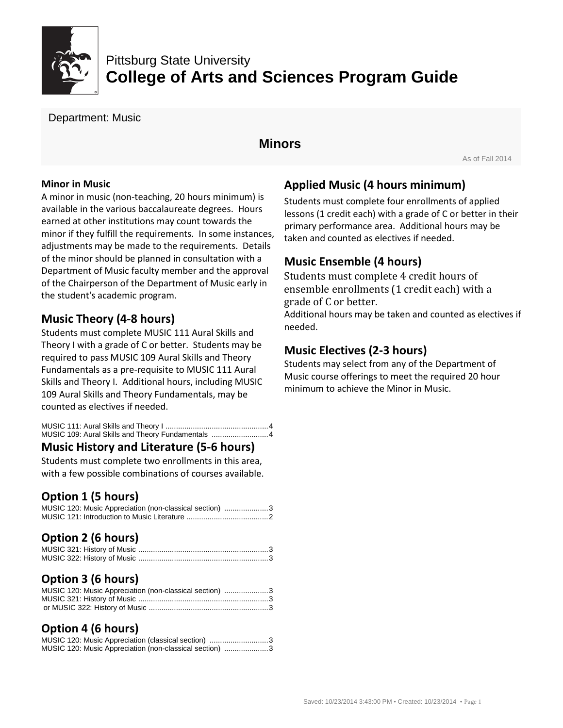

# Pittsburg State University **College of Arts and Sciences Program Guide**

Department: Music

## **Minors**

As of Fall 2014

#### **Minor in Music**

A minor in music (non-teaching, 20 hours minimum) is available in the various baccalaureate degrees. Hours earned at other institutions may count towards the minor if they fulfill the requirements. In some instances, adjustments may be made to the requirements. Details of the minor should be planned in consultation with a Department of Music faculty member and the approval of the Chairperson of the Department of Music early in the student's academic program.

## **Music Theory (4-8 hours)**

Students must complete MUSIC 111 Aural Skills and Theory I with a grade of C or better. Students may be required to pass MUSIC 109 Aural Skills and Theory Fundamentals as a pre-requisite to MUSIC 111 Aural Skills and Theory I. Additional hours, including MUSIC 109 Aural Skills and Theory Fundamentals, may be counted as electives if needed.

MUSIC 111: Aural Skills and Theory I .................................................4 MUSIC 109: Aural Skills and Theory Fundamentals ...........................4

### **Music History and Literature (5-6 hours)**

Students must complete two enrollments in this area, with a few possible combinations of courses available.

## **Option 1 (5 hours)**

|  | MUSIC 120: Music Appreciation (non-classical section) 3 |  |
|--|---------------------------------------------------------|--|
|  |                                                         |  |

## **Option 2 (6 hours)**

### **Option 3 (6 hours)**

| MUSIC 120: Music Appreciation (non-classical section) 3 |  |
|---------------------------------------------------------|--|
|                                                         |  |
|                                                         |  |

## **Option 4 (6 hours)**

|  | MUSIC 120: Music Appreciation (classical section) 3     |  |
|--|---------------------------------------------------------|--|
|  | MUSIC 120: Music Appreciation (non-classical section) 3 |  |

## **Applied Music (4 hours minimum)**

Students must complete four enrollments of applied lessons (1 credit each) with a grade of C or better in their primary performance area. Additional hours may be taken and counted as electives if needed.

#### **Music Ensemble (4 hours)**

Students must complete 4 credit hours of ensemble enrollments (1 credit each) with a grade of C or better.

Additional hours may be taken and counted as electives if needed.

#### **Music Electives (2-3 hours)**

Students may select from any of the Department of Music course offerings to meet the required 20 hour minimum to achieve the Minor in Music.